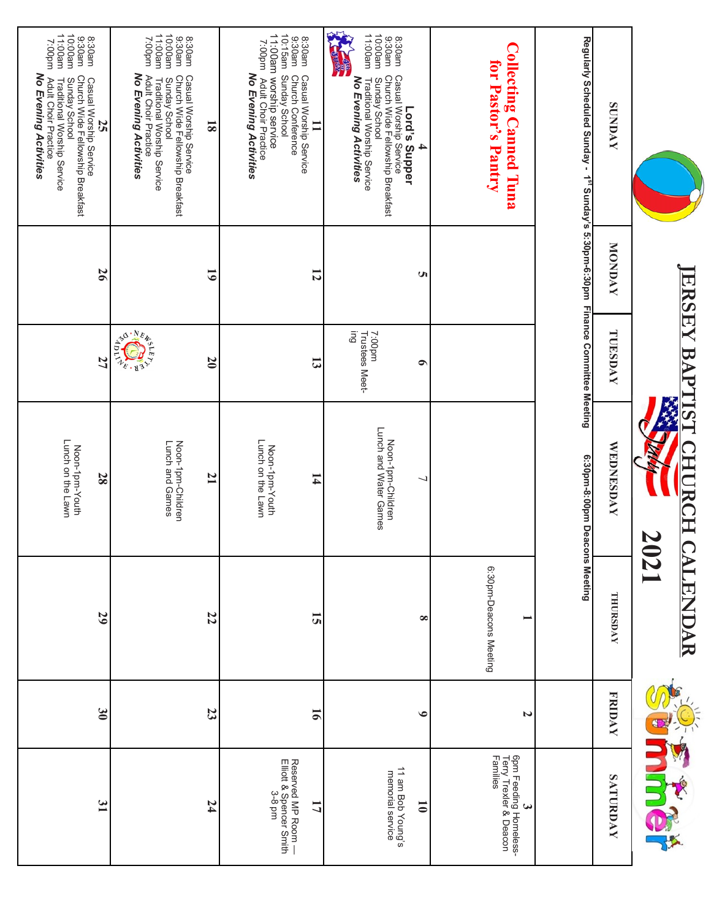|                                                                                                                                                                                              |                | <b>IERSEY BAP</b>               | LISL<br>HUR<br>I                           | 2021<br><b>CALEND</b><br>NR |                |                                                                   |
|----------------------------------------------------------------------------------------------------------------------------------------------------------------------------------------------|----------------|---------------------------------|--------------------------------------------|-----------------------------|----------------|-------------------------------------------------------------------|
| <b>SUNDAY</b>                                                                                                                                                                                | MONDAY         | TUESDAY                         | WEDNESDAY                                  | THURSDAY                    | <b>FRIDAY</b>  | SATURDAY                                                          |
| Regularly Scheduled Sunday - 1 <sup>st</sup> Sunday's 5:30pm-6:30pm Finance Committee Meeting                                                                                                |                |                                 | 6:30pm-8:00pm Deacons Meeting              |                             |                |                                                                   |
| <b>Collecting Canned Tuna</b><br>for Pastor's Pantry                                                                                                                                         |                |                                 |                                            | 6:30pm-Deacons Meeting      | N              | 6pm Feeding Homeless-<br>Terry Trexler & Deacon<br>Families<br>یم |
|                                                                                                                                                                                              |                |                                 |                                            |                             |                |                                                                   |
| 8.30am<br>9.30am<br>Church Wide Fellowship Breakfast<br>Casual Worship Service<br>Lord's Supper<br>4                                                                                         | Ü              | $\bullet$                       |                                            | $\infty$                    | $\bullet$      | 11 am Bob Young's<br>memorial service<br>$\overline{\bullet}$     |
| 11:00am<br>10:00am<br>No Evening Activities<br>Sunday School<br>Traditional Worship Service                                                                                                  |                | Gui<br>Trustees Meet-<br>mq00:7 | Noon-1pm-Children<br>Lunch and Water Games |                             |                |                                                                   |
| 9:30am Church Conference<br>10:15am Sunday School<br>8:30am<br>9:30am<br>Casual Worship Service<br>≡                                                                                         | $\overline{5}$ | $\mathbf{5}$                    | 14                                         | 51                          | $\overline{5}$ | Reserved MP Room —<br>Elliott & Spencer Smith<br>3-8 pm<br>17     |
| 11:00am worship service<br>7:00pm<br>No Evening Activities<br>Adult Choir Practice                                                                                                           |                |                                 | Lunch on the Lawn<br>Noon-1pm-Youth        |                             |                |                                                                   |
| 8:30am<br>9:30am<br>$\overline{\mathbf{8}}$                                                                                                                                                  | 5              | 20                              | 21                                         | 22                          | 23             | 74                                                                |
| 11:00am<br>10:00am<br>mq00:7<br>No Evening Activities<br>Adult Choir Practice<br>Casual Worship Service<br>Church Wide Fellowship Breakfast<br>Sunday School<br>Traditional Worship Service  |                | ARIANT                          | Noon-1pm-Children<br>Lunch and Games       |                             |                |                                                                   |
| 11:00am<br>10:00am<br>9:30am<br>8:30am<br>mq00:7<br>Church Wide Fellowship Breakfast<br>Adult Choir Practice<br>Sunday School<br>Traditional Worship Service<br>Casual Worship Service<br>52 | 56             | 27                              | Lunch on the Lawn<br>Noon-1pm-Youth<br>28  | 29                          | $\mathbf{S}$   | 31                                                                |
| No Evening Activities                                                                                                                                                                        |                |                                 |                                            |                             |                |                                                                   |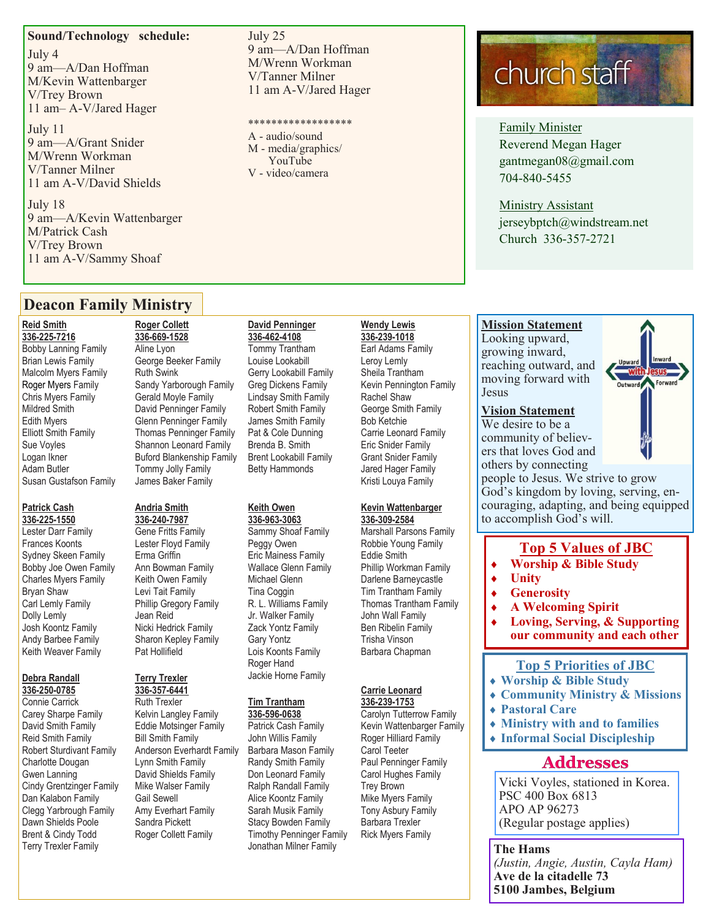#### **Sound/Technology schedule:**

July 4 9 am—A/Dan Hoffman M/Kevin Wattenbarger V/Trey Brown 11 am– A-V/Jared Hager

July 11 9 am—A/Grant Snider M/Wrenn Workman V/Tanner Milner 11 am A-V/David Shields

July 18 9 am—A/Kevin Wattenbarger M/Patrick Cash V/Trey Brown 11 am A-V/Sammy Shoaf

#### July 25 9 am—A/Dan Hoffman M/Wrenn Workman V/Tanner Milner 11 am A-V/Jared Hager

#### \*\*\*\*\*\*\*\*\*\*\*\*\*\*\*\*\*\*

A - audio/sound M - media/graphics/ YouTube V - video/camera

**336-462-4108**

**Keith Owen 336-963-3063** Sammy Shoaf Family Peggy Owen Eric Mainess Family Wallace Glenn Family Michael Glenn Tina Coggin R. L. Williams Family Jr. Walker Family Zack Yontz Family Gary Yontz Lois Koonts Family Roger Hand Jackie Horne Family

**Tim Trantham 336-596-0638** Patrick Cash Family John Willis Family Barbara Mason Family Randy Smith Family Don Leonard Family Ralph Randall Family Alice Koontz Family Sarah Musik Family Stacy Bowden Family Timothy Penninger Family Jonathan Milner Family

## church staff

Family Minister Reverend Megan Hager gantmegan08@gmail.com 704-840-5455

Ministry Assistant jerseybptch@windstream.net Church 336-357-2721

**Mission Statement**  Looking upward, growing inward, reaching outward, and moving forward with

**Vision Statement** 

#### **David Penninger**

Tommy Trantham Louise Lookabill Gerry Lookabill Family Greg Dickens Family Lindsay Smith Family Robert Smith Family James Smith Family Pat & Cole Dunning Brenda B. Smith Brent Lookabill Family Betty Hammonds **336-239-1018**

Barbara Chapman

Carolyn Tutterrow Family Roger Hilliard Family Carol Teeter Paul Penninger Family Carol Hughes Family Trey Brown Mike Myers Family Tony Asbury Family Barbara Trexler Rick Myers Family

## **Kevin Wattenbarger**

#### **336-309-2584** Marshall Parsons Family Robbie Young Family Eddie Smith

Phillip Workman Family Darlene Barneycastle Tim Trantham Family

# Thomas Trantham Family

John Wall Family Ben Ribelin Family Trisha Vinson

#### **Carrie Leonard 336-239-1753**

Kevin Wattenbarger Family

## **Wendy Lewis**

Earl Adams Family Leroy Lemly Sheila Trantham Kevin Pennington Family Rachel Shaw George Smith Family Bob Ketchie Carrie Leonard Family Eric Snider Family Grant Snider Family Jared Hager Family Kristi Louya Family

#### We desire to be a community of believers that loves God and others by connecting

Jesus

people to Jesus. We strive to grow God's kingdom by loving, serving, encouraging, adapting, and being equipped to accomplish God's will.

#### **Top 5 Values of JBC**

- **Worship & Bible Study**
- **Unity**
- **Generosity**
- **A Welcoming Spirit**
- **Loving, Serving, & Supporting our community and each other**

#### **Top 5 Priorities of JBC**

- **Worship & Bible Study**
- **Community Ministry & Missions**
- **Pastoral Care**
- **Ministry with and to families**
- **Informal Social Discipleship**

#### **Addresses**

Vicki Voyles, stationed in Korea. PSC 400 Box 6813 APO AP 96273 (Regular postage applies)

**The Hams** *(Justin, Angie, Austin, Cayla Ham)* **Ave de la citadelle 73 5100 Jambes, Belgium**

#### **Deacon Family Ministry**

#### **Reid Smith 336-225-7216** Bobby Lanning Family Brian Lewis Family Malcolm Myers Family Roger Myers Family Chris Myers Family

Mildred Smith Edith Myers Elliott Smith Family Sue Voyles Logan Ikner Adam Butler Susan Gustafson Family

### **Patrick Cash**

**336-225-1550** Lester Darr Family Frances Koonts Sydney Skeen Family Bobby Joe Owen Family Charles Myers Family Bryan Shaw Carl Lemly Family Dolly Lemly Josh Koontz Family Andy Barbee Family Keith Weaver Family

#### **Debra Randall 336-250-0785**

Connie Carrick Carey Sharpe Family David Smith Family Reid Smith Family Robert Sturdivant Family Charlotte Dougan Gwen Lanning Cindy Grentzinger Family Dan Kalabon Family Clegg Yarbrough Family Dawn Shields Poole Brent & Cindy Todd Terry Trexler Family

#### **Roger Collett 336-669-1528** Aline Lyon George Beeker Family Ruth Swink Sandy Yarborough Family Gerald Moyle Family David Penninger Family Glenn Penninger Family Thomas Penninger Family Shannon Leonard Family Buford Blankenship Family Tommy Jolly Family

#### **Andria Smith**

**336-240-7987** Gene Fritts Family Lester Floyd Family Erma Griffin Ann Bowman Family Keith Owen Family Levi Tait Family Phillip Gregory Family Jean Reid Nicki Hedrick Family Sharon Kepley Family Pat Hollifield

James Baker Family

#### **Terry Trexler 336-357-6441**

Ruth Trexler Kelvin Langley Family Eddie Motsinger Family Bill Smith Family Anderson Everhardt Family Lynn Smith Family David Shields Family Mike Walser Family Gail Sewell Amy Everhart Family Sandra Pickett Roger Collett Family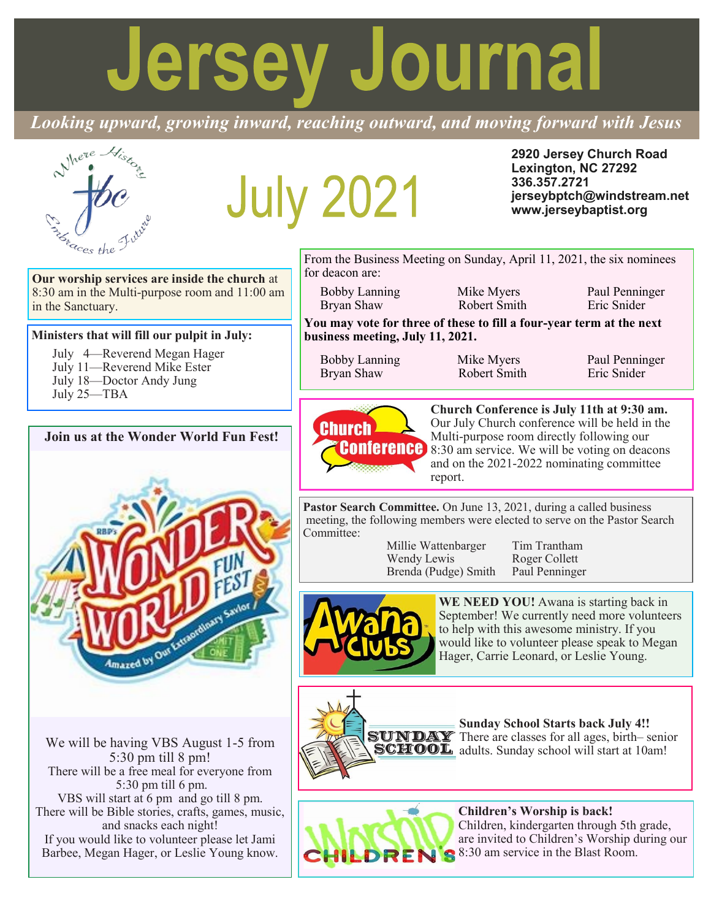# **Jersey Journal**

*Looking upward, growing inward, reaching outward, and moving forward with Jesus*

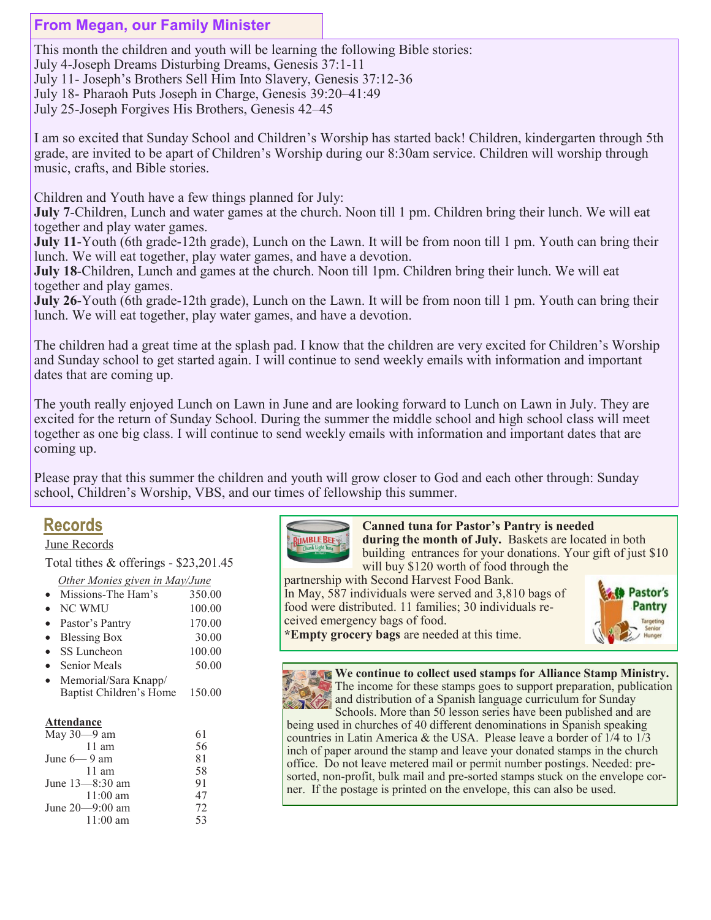#### **From Megan, our Family Minister**

This month the children and youth will be learning the following Bible stories: July 4-Joseph Dreams Disturbing Dreams, Genesis 37:1-11 July 11- Joseph's Brothers Sell Him Into Slavery, Genesis 37:12-36 July 18- Pharaoh Puts Joseph in Charge, Genesis 39:20–41:49 July 25-Joseph Forgives His Brothers, Genesis 42–45

I am so excited that Sunday School and Children's Worship has started back! Children, kindergarten through 5th grade, are invited to be apart of Children's Worship during our 8:30am service. Children will worship through music, crafts, and Bible stories.

Children and Youth have a few things planned for July:

**July 7-Children, Lunch and water games at the church.** Noon till 1 pm. Children bring their lunch. We will eat together and play water games.

**July 11**-Youth (6th grade-12th grade), Lunch on the Lawn. It will be from noon till 1 pm. Youth can bring their lunch. We will eat together, play water games, and have a devotion.

**July 18**-Children, Lunch and games at the church. Noon till 1pm. Children bring their lunch. We will eat together and play games.

**July 26**-Youth (6th grade-12th grade), Lunch on the Lawn. It will be from noon till 1 pm. Youth can bring their lunch. We will eat together, play water games, and have a devotion.

The children had a great time at the splash pad. I know that the children are very excited for Children's Worship and Sunday school to get started again. I will continue to send weekly emails with information and important dates that are coming up.

The youth really enjoyed Lunch on Lawn in June and are looking forward to Lunch on Lawn in July. They are excited for the return of Sunday School. During the summer the middle school and high school class will meet together as one big class. I will continue to send weekly emails with information and important dates that are coming up.

Please pray that this summer the children and youth will grow closer to God and each other through: Sunday school, Children's Worship, VBS, and our times of fellowship this summer.

#### **Records**

#### June Records

Total tithes & offerings - \$23,201.45

#### *Other Monies given in May/June*

- Missions-The Ham's 350.00
- NC WMU 100.00
- Pastor's Pantry 170.00
- Blessing Box 30.00
- SS Luncheon 100.00
- Senior Meals 50.00 • Memorial/Sara Knapp/
- Baptist Children's Home 150.00

#### **Attendance**

| May $30-9$ am       |    |
|---------------------|----|
| $11$ am             | 56 |
| June $6-9$ am       | 81 |
| $11 \text{ am}$     | 58 |
| June 13–8:30 am     | 91 |
| $11:00 \text{ am}$  | 47 |
| June $20 - 9:00$ am | 72 |
| $11:00 \text{ am}$  | 53 |
|                     |    |



 **Canned tuna for Pastor's Pantry is needed during the month of July.** Baskets are located in both building entrances for your donations. Your gift of just \$10

will buy \$120 worth of food through the partnership with Second Harvest Food Bank. In May, 587 individuals were served and 3,810 bags of food were distributed. 11 families; 30 individuals received emergency bags of food.



**\*Empty grocery bags** are needed at this time.

**We continue to collect used stamps for Alliance Stamp Ministry.**  The income for these stamps goes to support preparation, publication and distribution of a Spanish language curriculum for Sunday

Schools. More than 50 lesson series have been published and are being used in churches of 40 different denominations in Spanish speaking countries in Latin America & the USA. Please leave a border of 1/4 to 1/3 inch of paper around the stamp and leave your donated stamps in the church office. Do not leave metered mail or permit number postings. Needed: presorted, non-profit, bulk mail and pre-sorted stamps stuck on the envelope corner. If the postage is printed on the envelope, this can also be used.